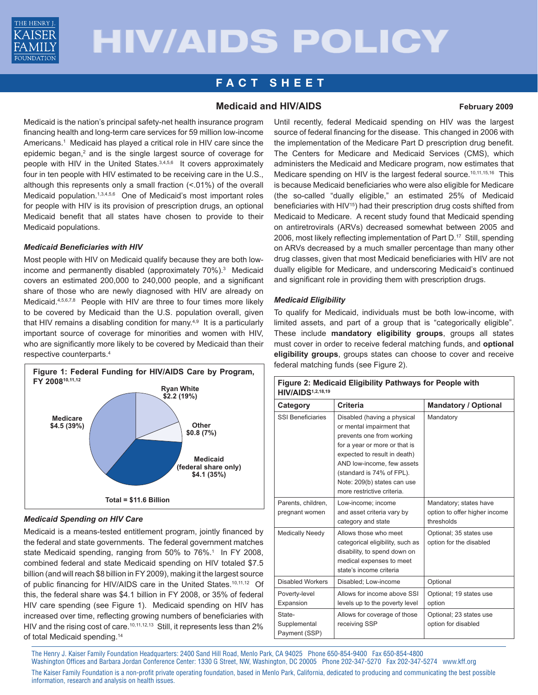

# HIV/AIDS POLICY

## **F ACT SHEE T**

### **Medicaid and HIV/AIDS February 2009**

Medicaid is the nation's principal safety-net health insurance program financing health and long-term care services for 59 million low-income Americans.<sup>1</sup> Medicaid has played a critical role in HIV care since the epidemic began,<sup>2</sup> and is the single largest source of coverage for people with HIV in the United States.<sup>3,4,5,6</sup> It covers approximately four in ten people with HIV estimated to be receiving care in the U.S., although this represents only a small fraction (<.01%) of the overall Medicaid population.1,3,4,5,6 One of Medicaid's most important roles for people with HIV is its provision of prescription drugs, an optional Medicaid benefit that all states have chosen to provide to their Medicaid populations.

#### *Medicaid Beneficiaries with HIV*

Most people with HIV on Medicaid qualify because they are both lowincome and permanently disabled (approximately 70%).<sup>3</sup> Medicaid covers an estimated 200,000 to 240,000 people, and a significant share of those who are newly diagnosed with HIV are already on Medicaid.<sup>4,5,6,7,8</sup> People with HIV are three to four times more likely to be covered by Medicaid than the U.S. population overall, given that HIV remains a disabling condition for many.<sup>4,9</sup> It is a particularly important source of coverage for minorities and women with HIV, who are significantly more likely to be covered by Medicaid than their respective counterparts.<sup>4</sup>



#### *Medicaid Spending on HIV Care*

Medicaid is a means-tested entitlement program, jointly financed by the federal and state governments. The federal government matches state Medicaid spending, ranging from 50% to 76%.<sup>1</sup> In FY 2008, combined federal and state Medicaid spending on HIV totaled \$7.5 billion (and will reach \$8 billion in FY 2009), making it the largest source of public financing for HIV/AIDS care in the United States.<sup>10,11,12</sup> Of this, the federal share was \$4.1 billion in FY 2008, or 35% of federal HIV care spending (see Figure 1). Medicaid spending on HIV has increased over time, reflecting growing numbers of beneficiaries with HIV and the rising cost of care.<sup>10,11,12,13</sup> Still, it represents less than 2% of total Medicaid spending.14

Until recently, federal Medicaid spending on HIV was the largest source of federal financing for the disease. This changed in 2006 with the implementation of the Medicare Part D prescription drug benefit. The Centers for Medicare and Medicaid Services (CMS), which administers the Medicaid and Medicare program, now estimates that Medicare spending on HIV is the largest federal source.<sup>10,11,15,16</sup> This is because Medicaid beneficiaries who were also eligible for Medicare (the so-called "dually eligible," an estimated 25% of Medicaid beneficiaries with HIV15) had their prescription drug costs shifted from Medicaid to Medicare. A recent study found that Medicaid spending on antiretrovirals (ARVs) decreased somewhat between 2005 and 2006, most likely reflecting implementation of Part D.<sup>17</sup> Still, spending on ARVs decreased by a much smaller percentage than many other drug classes, given that most Medicaid beneficiaries with HIV are not dually eligible for Medicare, and underscoring Medicaid's continued and significant role in providing them with prescription drugs.

#### *Medicaid Eligibility*

To qualify for Medicaid, individuals must be both low-income, with limited assets, and part of a group that is "categorically eligible". These include **mandatory eligibility groups**, groups all states must cover in order to receive federal matching funds, and **optional eligibility groups**, groups states can choose to cover and receive federal matching funds (see Figure 2).

| Figure 2: Medicaid Eligibility Pathways for People with<br><b>HIV/AIDS</b> 1,2,18,19 |                                                                                                                                                                                                                                                                                |                                                                       |
|--------------------------------------------------------------------------------------|--------------------------------------------------------------------------------------------------------------------------------------------------------------------------------------------------------------------------------------------------------------------------------|-----------------------------------------------------------------------|
| Category                                                                             | Criteria                                                                                                                                                                                                                                                                       | <b>Mandatory / Optional</b>                                           |
| <b>SSI Beneficiaries</b>                                                             | Disabled (having a physical<br>or mental impairment that<br>prevents one from working<br>for a year or more or that is<br>expected to result in death)<br>AND low-income, few assets<br>(standard is 74% of FPL).<br>Note: 209(b) states can use<br>more restrictive criteria. | Mandatory                                                             |
| Parents, children,<br>pregnant women                                                 | Low-income; income<br>and asset criteria vary by<br>category and state                                                                                                                                                                                                         | Mandatory; states have<br>option to offer higher income<br>thresholds |
| <b>Medically Needy</b>                                                               | Allows those who meet<br>categorical eligibility, such as<br>disability, to spend down on<br>medical expenses to meet<br>state's income criteria                                                                                                                               | Optional; 35 states use<br>option for the disabled                    |
| Disabled Workers                                                                     | Disabled; Low-income                                                                                                                                                                                                                                                           | Optional                                                              |
| Poverty-level<br>Expansion                                                           | Allows for income above SSI<br>levels up to the poverty level                                                                                                                                                                                                                  | Optional; 19 states use<br>option                                     |
| State-<br>Supplemental<br>Payment (SSP)                                              | Allows for coverage of those<br>receiving SSP                                                                                                                                                                                                                                  | Optional; 23 states use<br>option for disabled                        |

The Henry J. Kaiser Family Foundation Headquarters: 2400 Sand Hill Road, Menlo Park, CA 94025 Phone 650-854-9400 Fax 650-854-4800 Washington Offices and Barbara Jordan Conference Center: 1330 G Street, NW, Washington, DC 20005 Phone 202-347-5270 Fax 202-347-5274 www.kff.org The Kaiser Family Foundation is a non-profit private operating foundation, based in Menlo Park, California, dedicated to producing and communicating the best possible information, research and analysis on health issues.